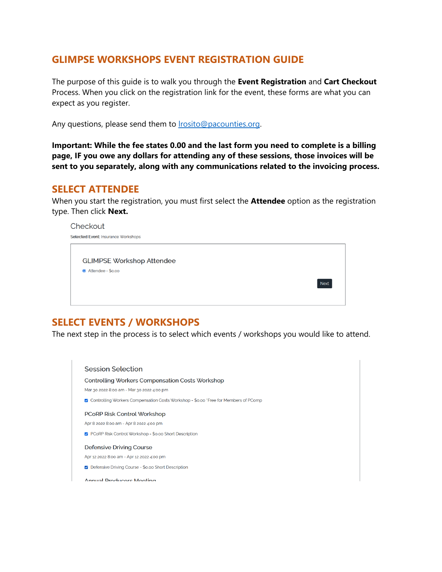### **GLIMPSE WORKSHOPS EVENT REGISTRATION GUIDE**

The purpose of this guide is to walk you through the **Event Registration** and **Cart Checkout**  Process. When you click on the registration link for the event, these forms are what you can expect as you register.

Any questions, please send them to **Irosito@pacounties.org**.

**Important: While the fee states 0.00 and the last form you need to complete is a billing page, IF you owe any dollars for attending any of these sessions, those invoices will be sent to you separately, along with any communications related to the invoicing process.**

#### **SELECT ATTENDEE**

When you start the registration, you must first select the **Attendee** option as the registration type. Then click **Next.**

| Checkout                            |             |
|-------------------------------------|-------------|
| Selected Event: Insurance Workshops |             |
|                                     |             |
| <b>GLIMPSE Workshop Attendee</b>    |             |
| Attendee - \$0.00                   |             |
|                                     | <b>Next</b> |
|                                     |             |
|                                     |             |

# **SELECT EVENTS / WORKSHOPS**

The next step in the process is to select which events / workshops you would like to attend.

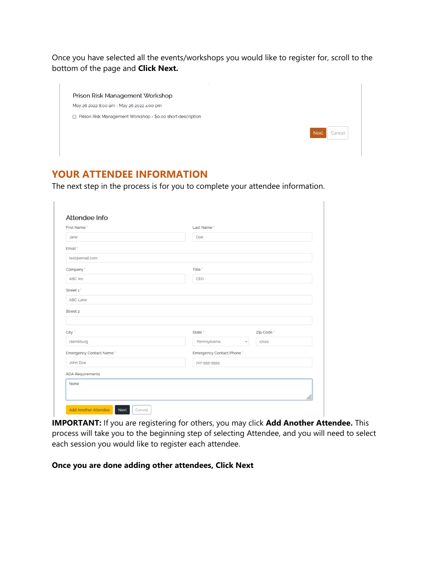Once you have selected all the events/workshops you would like to register for, scroll to the bottom of the page and **Click Next.**

| a.<br>Prison Risk Management Workshop                           |                       |
|-----------------------------------------------------------------|-----------------------|
| May 26 2022 8:00 am - May 26 2022 4:00 pm                       |                       |
| Prison Risk Management Workshop - \$0.00 short description<br>п |                       |
|                                                                 | <b>Next</b><br>Cancel |
|                                                                 |                       |

# **YOUR ATTENDEE INFORMATION**

The next step in the process is for you to complete your attendee information.

|                          |                    | Last Name"                |            |  |
|--------------------------|--------------------|---------------------------|------------|--|
| Jane                     | Doe                |                           |            |  |
| Email *                  |                    |                           |            |  |
| test@email.com           |                    |                           |            |  |
| Company *                | Title <sup>*</sup> |                           |            |  |
| ABC Inc.                 | CEO                |                           |            |  |
| Street 1"                |                    |                           |            |  |
| ABC Lane                 |                    |                           |            |  |
| Street 2                 |                    |                           |            |  |
|                          |                    |                           |            |  |
| City *                   | State *            |                           | Zip Code * |  |
| Harrisburg               | Pennsylvania       | v                         | 17110      |  |
| Emergency Contact Name * |                    | Emergency Contact Phone * |            |  |
|                          | 717-555-5555       |                           |            |  |
| John Doe                 |                    |                           |            |  |
| <b>ADA Requirements</b>  |                    |                           |            |  |

**IMPORTANT:** If you are registering for others, you may click **Add Another Attendee.** This process will take you to the beginning step of selecting Attendee, and you will need to select each session you would like to register each attendee.

#### **Once you are done adding other attendees, Click Next**